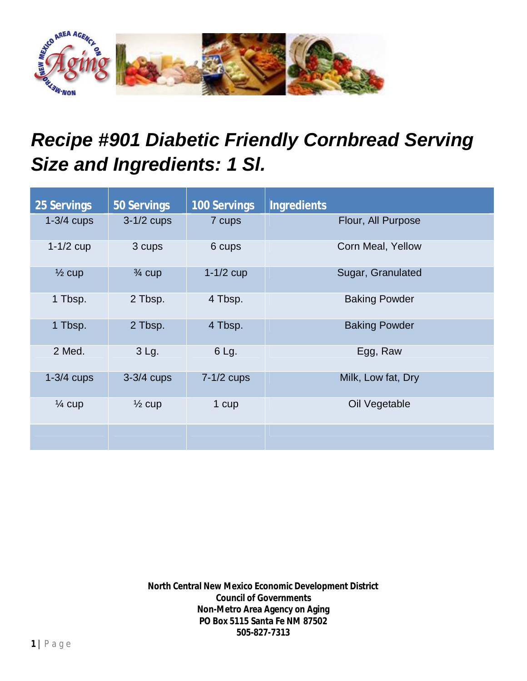

## *Recipe #901 Diabetic Friendly Cornbread Serving Size and Ingredients: 1 Sl.*

| <b>25 Servings</b> | <b>50 Servings</b> | <b>100 Servings</b> | <b>Ingredients</b>   |
|--------------------|--------------------|---------------------|----------------------|
| $1-3/4$ cups       | $3-1/2$ cups       | 7 cups              | Flour, All Purpose   |
| $1-1/2$ cup        | 3 cups             | 6 cups              | Corn Meal, Yellow    |
| $\frac{1}{2}$ cup  | $\frac{3}{4}$ cup  | $1-1/2$ cup         | Sugar, Granulated    |
| 1 Tbsp.            | 2 Tbsp.            | 4 Tbsp.             | <b>Baking Powder</b> |
| 1 Tbsp.            | 2 Tbsp.            | 4 Tbsp.             | <b>Baking Powder</b> |
| 2 Med.             | 3 Lg.              | 6 Lg.               | Egg, Raw             |
| $1-3/4$ cups       | $3-3/4$ cups       | $7-1/2$ cups        | Milk, Low fat, Dry   |
| $\frac{1}{4}$ cup  | $\frac{1}{2}$ cup  | 1 cup               | Oil Vegetable        |
|                    |                    |                     |                      |

**North Central New Mexico Economic Development District Council of Governments Non-Metro Area Agency on Aging PO Box 5115 Santa Fe NM 87502 505-827-7313**